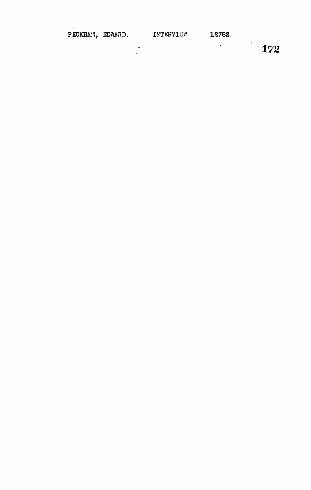| PECKHAM, EDWARD. |   | INTERVIEW | 12782 |                  |
|------------------|---|-----------|-------|------------------|
|                  | ۰ |           |       | $\bullet$<br>172 |

 $\bar{\phantom{a}}$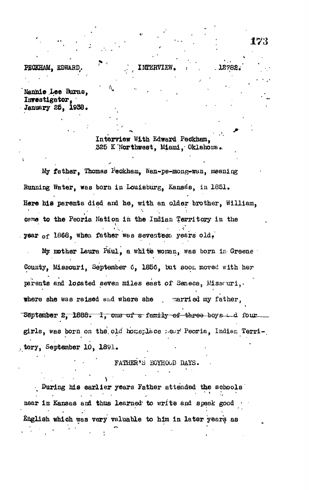**INPERVIEW.** 12782. PECKHAM, EDWARD. Nannie Lee Burns, Investigator. January 25, 1938.

> Interview With Edward Peckhem. 325 K Northwest, Miami, Oklahoma.

My father. Thomas Peckham. Wan-pe-mong-wan, meaning Running Water, was born in Louisburg, Kansás, in 1851. Here his parents died and he, with an older brother, William. came to the Peoria Nation in the Indian Territory in the year of 1868, when father was seventeen years old.

My mother Laura Paul. a white woman, was born in Greene County, Missouri, September 6, 1856, but soon moved with her parents and located seven miles east of Saneca, Missouri,. where she was raised and where she married my father. September 2, 1888. I, one of a family of three boys . d four girls, was born on the old homeplace near Peoria. Indian Terri-, tory, September 10, 1891.

FATHER'S EOYHOOD DAYS.

During his earlier years Father attended the schools near in Kansas and thus learned to write and speak good English which was very valuable to him in later years as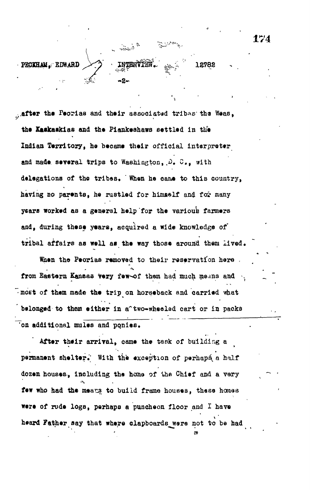$INTERV 18W - 1878S$ -2-

**.after the Peorias and their associated tribes' tha Weas, the Kafkaakias and the Piankeshaws settled in the** Indian Territory, he became their official interpreter and made several trips to Washington,  $D_0$  C<sub>2</sub>, with delegations of the tribes. When he cane to this country, **having no parents, he rustled for himself and foi\* many** years worked as a general help for the various farmers **and, during these years, acquired a wide knowledge of' tribal affairs as well as the way those around them lived.**

**When tho Peorias removed to their reservation hare «** from Eastern Kansas very few-of them had much means and most of them made the trip on horseback and carried what **belonged to them either in a"two-wheeled cart or in packs 'on additional mules and pqnies.**

**After their arrival, came the task of building a** permanent shelter. With the exception of perhaps a half **dozen houses, including the hcsna of uh« Chief and a very** few who had the meats to build frame houses, these houses **were of rude logs, perhaps a puncheon floor and 1 have heard Father say that where clapboards were not to be had**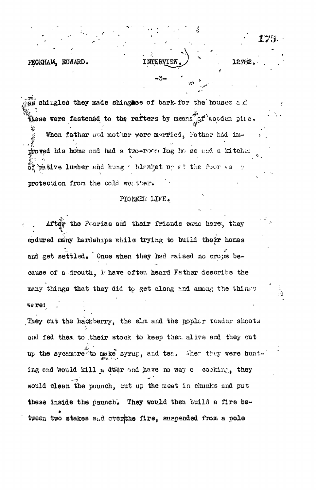12782

# PECKHAM, EDWARD.

as shingles they made shingles of bark for the houses a d these were fastened to the rafters by means of kooden pile. When father and mother were married, Father had inproved his home and had a two-room log ho se and a kitchen of pative lumber and hung o blanget up at the door as - 56 protection from the cold weather.

INTERVIET

## PIONEER LIFE.

After the Peorias and their friends came here, they endured many hardships while trying to build their homes and get settled. Once when they had raised no crops because of a drouth, I have often heard Father describe the many things that they did to get along and among the things **TOY ON** 

They cut the hackberry, the elm and the poplar tender shoots and fed them to their stock to keep them alive and they cut up the sycamore to make syrup, and tea. Ther they were hunting and would kill a doer and have mo way o cooking, they would clean the paunch, cut up the meat in chunks and put these inside the paunch. They would then build a fire between two stakes and overthe fire, suspended from a pole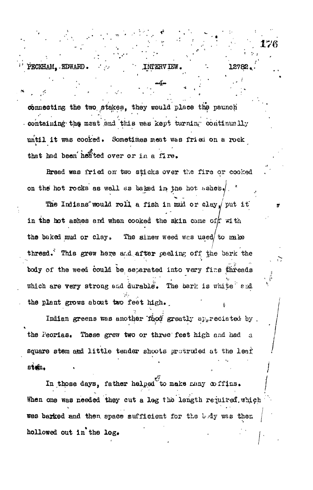connecting the two stakes, they would place the paunch containing the meat and this was kept turning continually until it was cooked. Sometimes meat was fried on a rock that had been heated over or in a fire.

 $\mathcal{F} = \{ \mathbf{v}_i, \mathbf{v}_j \}$ 

 $12782$ 

**176**

*\**

*i*

. . . « , •  $\bullet$  .  $\bullet$  .  $\bullet$  .  $\bullet$  .  $\bullet$ 

INTERVIEW.

;

PECKHAM, EDWARD.

Bread was fried on two sticks over the fire or cooked on the hot rocks as well as baked in the hot ashes.

The Indians<sup>+</sup>would roll a fish in mud or clay, put it in the hot ashes and when cooked the skin came of it with the baked mud or clay. The sinew weed was used to make thread.' This grew here and after peeling off the bark the body of the weed could be separated into very fine inreads which are very strong and durable. The bark is white and the plant grows about two feet high.

Indian greens was another Thof greatly appreciated by , the Peorias. These grew two or three feet high and had a square stem and little tender shoots protruded at the leaf stem.

In those days, father helped to make many coffins. When one was needed they cut a log the length required which wes barked and then space sufficient for the bely was then hollowed out in the log.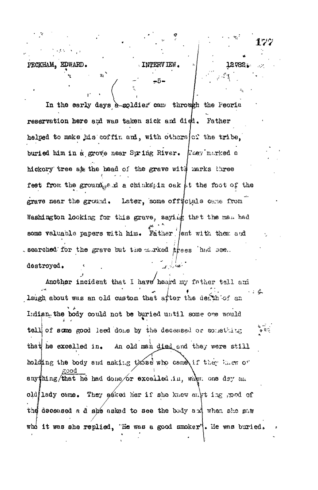FECKHAM, EDWARD

12782

In the early days a soldier came through the Peoria reservation here and was taken sick and died. Father helped to make his coffin and, with others c? the tribe. buried him in a grove near Spring River. Faey marked a hickory tree at the head of the grave with marks three feet from the ground  $x$  a chinkapin oak at the foot of the grave near the ground. Later, some officials cane from Washington looking for this grave, saying that the man had some valuable papers with him. Father ent with them and searched for the grave but the marked trees had been destroyed.

Another incident that I have heard my father tall am 三兵 laugh about was an old custom that after the death'of an Indiang the body could not be buried until some one would tell of some good leed done by the deceased or something that he excelled in. An old man died and they were still holding the body and asking those who came if they knew of anything/that he had done/or excelled in, when one day an old lady came. They asked her if she knew anyt ing good of the deceased a d she asked to see the body and when she saw who it was she replied. The was a good smoker' le was buried.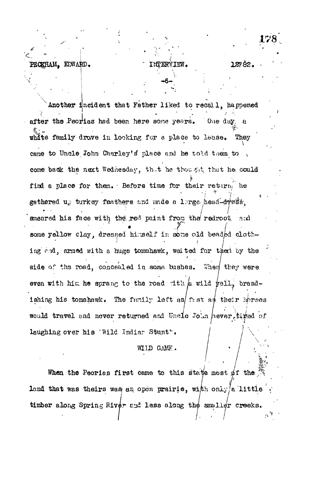#### INTERVIEW.

**! . -6 - :**

PECKHAM, EDWARD.

Another incident that Father liked to recall, happened after the Peorias had been here some years. One day, a white family drove in looking for a place to lease. They came to Uncle John Charley's place and he told them to  $\sqrt{ }$ come back the next Wednesday, that he thou git that he could find a place for them. Before time for their return he **. 'f -'** gathered  $\mathbf{u}_P$  turkey feathers and made a large head-drivit. smeared his face with the red peint from the redroot. and some yellow clay, dressed himself in some old beaded clothing and, armed with a huge tomahawk, waited for then by the side of the road, concealed in some bushes. When they were even with him he sprang to the road title wild fell, brandishing his tomahawk. The family left as fest as their borses would travel and never returned and Uncle John hever tiged of laughing over his 'Wild Indiar Stunt".

## laughing over his 'Wild Indiar Stunt'',

When the Peorias first came to this state most  $\phi$ f the lond that was theirs was an open prairie, with only/a little timber along Spring River and less along the smaller creeks.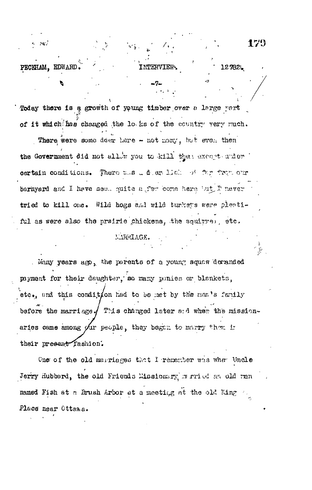### INTERVIEW-

Today there is a growth of young timber over a large part of it which has changed the lo ks of the country very much.

**Fact** 

PECKHAM, EDWARD.

There were some deer here - not many, but even then the Government did not allow you to kill then except ander certain conditions. There was a dear lick of for two our barnyard and I have seen quite a few come here but I never tried to kill one. Wild hogs and wild turkeys were pleatiful as were also the prairie chickens, the squirres, etc.

## LARRIAGE.

. Many years ago, the parents of a young squaw deranded payment for their daughter, so many ponies or blankets, ete., and this condition had to be met by the man's family before the marriage. This changed later and when the missionaries came among our people, they began to marry them in their present fashion.

One of the old marriages that I remember was when Uncle Jerry Hubbard, the old Friends Missionary merici an old ran named Fish at a Brush Arbor at a meetig at the old King Place near Ottawa.

127821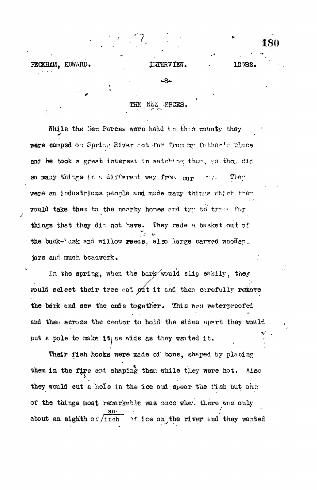THE NEZ ERCES.

INTERVIEW.

PECKHAM. EDWARD.

180

12782.

While the Mez Perces were held in this county they were camped on Spring River not far from my father's place and he took a great interest in watching them, as they did so many things in a different wey from our fig. They were an industrious people and made many things which they would take them to the nearby homes and try to treas for things that they dit not have. They made a basket out of the buck-'usk and willow reeas, also large carved wooden. jars and much beadwork.

In the spring, when the bark would slip easily, they would select their tree and out it and then carefully remove the bark and sew the ends together. This was waterproofed and then across the center to hold the sides spart they would put a pole to make it as wide as they wented it.

Their fish hooks were made of bone, shaped by placing them in the fire and shaping then while they were hot. Also they would cut a hole in the ice and spear the fish but one of the things most remarkeble was once when there wes only about an eighth of /inch of ice on the river and they wanted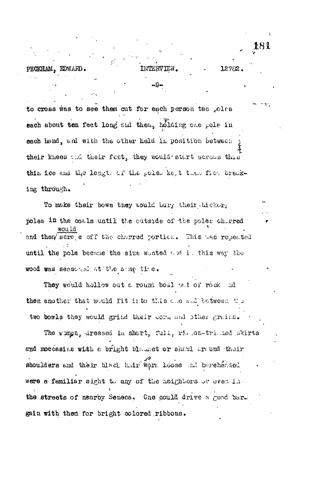$12782.$ 

#### PECKHAM, HOWARD.

to cross was to see them cut for each person two poles each about ten feet long and then, holding one pole in each hand, and with the other held in position between their knees and their feet, they would start across this thin ice and the lengt. of the pole kept these from breaking through.

LNTERVIEW.

To make their bows they would bury their hickory poles in the coals until the outside of the poles churred would and then scrape off the charred portion. This was repeated until the pole became the size wanted and it this way the wood was seasoned at the sime time.

They would hollow out a round bowl out of rock  $\square \vec{\alpha}$ then another that would fit is to this one and between Metwo bowls they would grind their corn and other grains.

The women, dressed in short, full, rie on-triedeskirts and moccasins with a bright blamet or shawl around their shoulders and their black hair work loose and bureheaded were a familiar sight to any of the neighbors or even inthe streets of nearby Seneca. One could drive a good bar. gain with them for bright colored ribbons.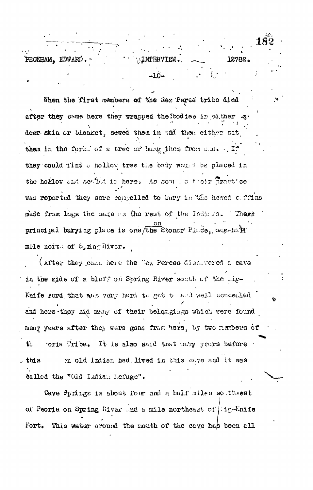When the first members of the Nez Perce tribe died after they came here they wrapped the bodies in either .a deer skin or blanket, sewed them in and then either sat them in the fork. of a tree or bung them from che. . If they could find a hollow tree the body would be placed in the hoklow and seeded in here. As soon, a their practice was reported they were compelled to bury in the hewed of fins made from logs the sage as the rest of the Indians. **Their** principal burying place is one/the Stoner Place, eag-half

**LIMPERVIEW** 

-10-

12782.

mile noita of Spring River.

PECKHAM. EDWARD.

(After they cand here the Nez Perces discurered a cave in the side of a bluff on Spring River south of the sig-Knife Ford that was very hard to get to and well concealed and here they hid many of their belongings which were found many years after they were gone from here, by two members of oria Tribe. It is also said that many years before ti. en old Indian had. Hved in this care and it was , this called the "Old Ludian Refuge".

Cave Springs is about four and a half miles southwest of Peoria on Spring River and a mile northeast of lig-Knife This water around the mouth of the cave has been all Fort.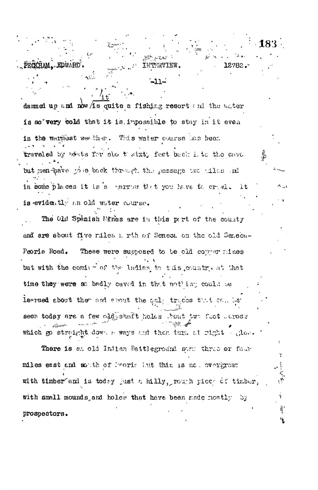dammed up and now /is quite a fishing resort onl the water is so very cold that it is impossible to stay in it even in the warmest weather. This water course has been traveled by wets for sho t sixt; feet back i to the cave but men have joes back through the passage two tiles in in some places it is so earnest that you have to crawl. ιt is evidently an old water course.

INTRAVIEW

 $-11-$ 

12782.

Ý

ทู้

The Old Spenish Mines are in this part of the county and are about five riles 1. rth of Seneca on the old Seneca-Peoria Road. These were supposed to be old copper mines but with the coming of the Indias to this country at that time they were so badly caved in that not ing could be learned about them and about the qulp traces that only be seen today are a few old shaft holes fout two feet etpose which go straight down a ways and then turn at right a glas.

There is an old Indian Battleground some three or four miles east and south of Peoric but this is not overgrow. with timber and is today just a hilly, rough piece of timber, with small mounds and holes that have been asde nostly ់ឆ្ន prospectors.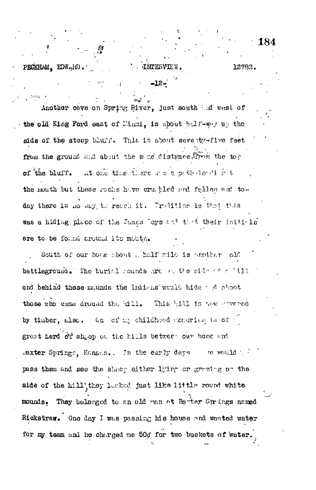PECKHAM. EDWARD.

Another cave on Spring River, just south ad west of the old King Ford east of Mini, is spout helf-wer up the side of the steep bluff. This is about seventy-five feet from the ground and about the same distance from the top of the bluff. At one time there we a possible dirt the month but these rocks have crupled and fallen and today there is no way to resch it. Tradition is that this was a hiding place of the James leys and that their initials are to be found around its mouth.

**INTERVIEW** 

184

12782.

South of our home about . half rile is another old battleground. The buritl rounds are on the side of a 'ill and behind these mounds the Initens would hide of aboot those who came around the hill. This hill is now envered by timber, also. On of my childhood nonoricapis of the great herd of shoep on the hills between our home and Laxter Springs, Kansas. In the early days are would a  $\ell$ pass them and see the shaep either lying or grazing on the side of the hill', they lucked just like little round white mounds. They belonged to an old man at Barter Springs named Rickstraw. One day I was passing his house and wanted water for my team and he charged me 50¢ for two buckets of water.